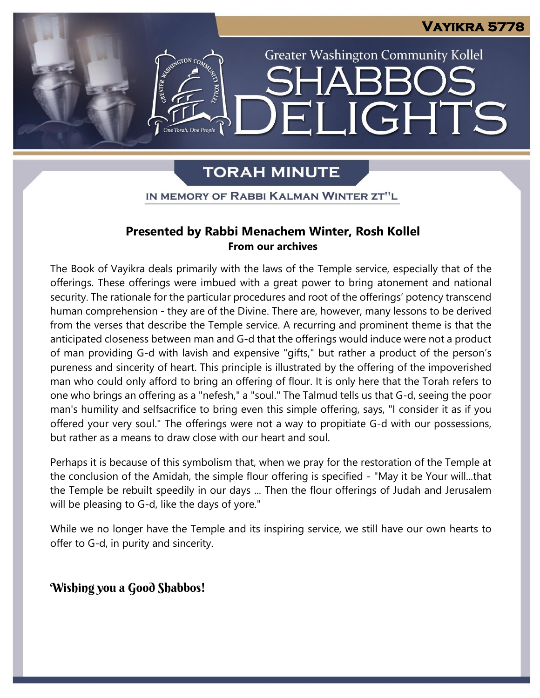## **Vayikra 5778**

**Greater Washington Community Kollel** 

LIGHTS

# **TORAH MINUTE**

One Torah. One People

 $\mathbf{E}$ 

#### IN MEMORY OF RABBI KALMAN WINTER ZT"L ֖֖֖֧֪ׅ֖֧֧֪֪ׅ֖֚֚֚֚֚֚֚֚֚֚֚֚֚֚֚֚֚֚֚֚֚֚֚֚֚֚֚֚֚֚֚֬֡֡֡֡֬֝֝֓֞֡֡֡֬֝֬֝

### **Presented by Rabbi Menachem Winter, Rosh Kollel From our archives**

The Book of Vayikra deals primarily with the laws of the Temple service, especially that of the offerings. These offerings were imbued with a great power to bring atonement and national security. The rationale for the particular procedures and root of the offerings' potency transcend human comprehension - they are of the Divine. There are, however, many lessons to be derived from the verses that describe the Temple service. A recurring and prominent theme is that the anticipated closeness between man and G-d that the offerings would induce were not a product of man providing G-d with lavish and expensive "gifts," but rather a product of the person's pureness and sincerity of heart. This principle is illustrated by the offering of the impoverished man who could only afford to bring an offering of flour. It is only here that the Torah refers to one who brings an offering as a "nefesh," a "soul." The Talmud tells us that G-d, seeing the poor man's humility and selfsacrifice to bring even this simple offering, says, "I consider it as if you offered your very soul." The offerings were not a way to propitiate G-d with our possessions, but rather as a means to draw close with our heart and soul.

Perhaps it is because of this symbolism that, when we pray for the restoration of the Temple at the conclusion of the Amidah, the simple flour offering is specified - "May it be Your will...that the Temple be rebuilt speedily in our days ... Then the flour offerings of Judah and Jerusalem will be pleasing to G-d, like the days of yore."

While we no longer have the Temple and its inspiring service, we still have our own hearts to offer to G-d, in purity and sincerity.

### Wishing you a Good Shabbos!